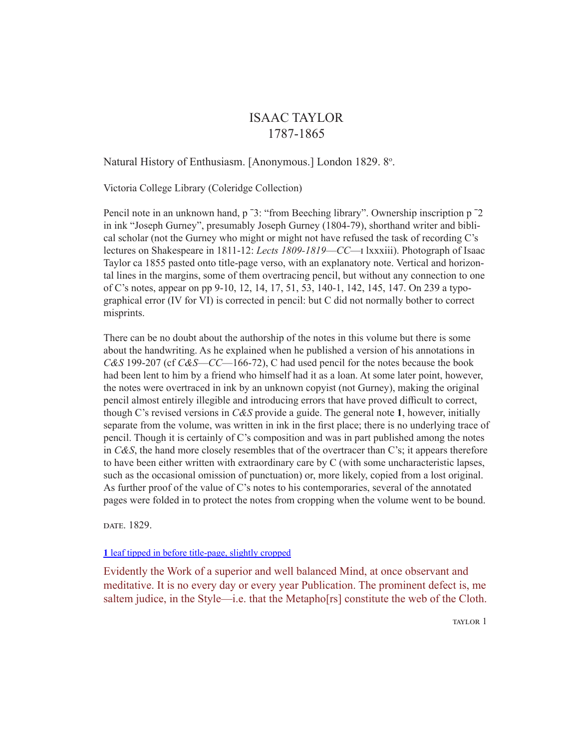# ISAAC TAYLOR 1787-1865

Natural History of Enthusiasm. [Anonymous.] London 1829. 8°.

Victoria College Library (Coleridge Collection)

Pencil note in an unknown hand, p ˉ3: "from Beeching library". Ownership inscription p ˉ2 in ink "Joseph Gurney", presumably Joseph Gurney (1804-79), shorthand writer and biblical scholar (not the Gurney who might or might not have refused the task of recording C's lectures on Shakespeare in 1811-12: *Lects 1809-1819*—*CC*—i lxxxiii). Photograph of Isaac Taylor ca 1855 pasted onto title-page verso, with an explanatory note. Vertical and horizontal lines in the margins, some of them overtracing pencil, but without any connection to one of C's notes, appear on pp 9-10, 12, 14, 17, 51, 53, 140-1, 142, 145, 147. On 239 a typographical error (IV for VI) is corrected in pencil: but C did not normally bother to correct misprints.

There can be no doubt about the authorship of the notes in this volume but there is some about the handwriting. As he explained when he published a version of his annotations in *C&S* 199-207 (cf *C&S*—*CC*—166-72), C had used pencil for the notes because the book had been lent to him by a friend who himself had it as a loan. At some later point, however, the notes were overtraced in ink by an unknown copyist (not Gurney), making the original pencil almost entirely illegible and introducing errors that have proved difficult to correct, though C's revised versions in *C&S* provide a guide. The general note **1**, however, initially separate from the volume, was written in ink in the first place; there is no underlying trace of pencil. Though it is certainly of C's composition and was in part published among the notes in *C&S*, the hand more closely resembles that of the overtracer than C's; it appears therefore to have been either written with extraordinary care by C (with some uncharacteristic lapses, such as the occasional omission of punctuation) or, more likely, copied from a lost original. As further proof of the value of C's notes to his contemporaries, several of the annotated pages were folded in to protect the notes from cropping when the volume went to be bound.

date. 1829.

**1** [leaf tipped in before title-page, slightly cropped](http://library.vicu.utoronto.ca/sites/default/files/special_collections/coleridge/marginalia/taylor_natural_history_of_enthusiasm.pdf#page=1)

Evidently the Work of a superior and well balanced Mind, at once observant and meditative. It is no every day or every year Publication. The prominent defect is, me saltem judice, in the Style—i.e. that the Metapho[rs] constitute the web of the Cloth.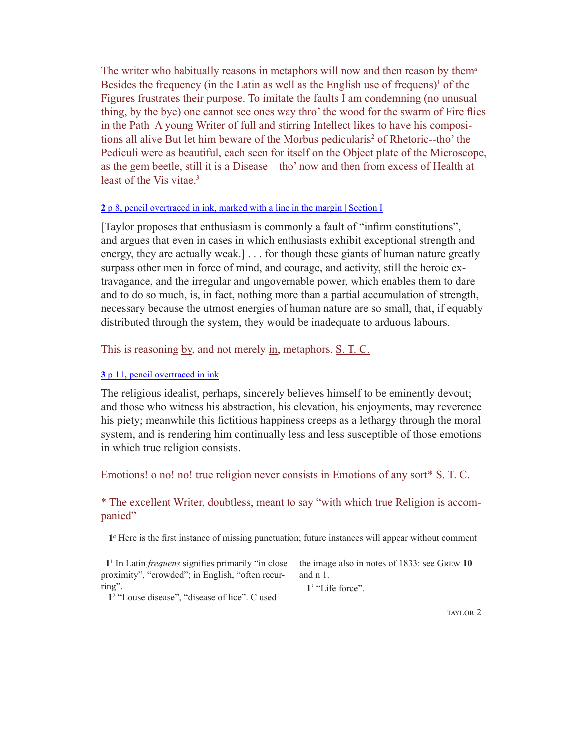The writer who habitually reasons in metaphors will now and then reason by them*<sup>a</sup>* Besides the frequency (in the Latin as well as the English use of frequens) $<sup>1</sup>$  of the</sup> Figures frustrates their purpose. To imitate the faults I am condemning (no unusual thing, by the bye) one cannot see ones way thro' the wood for the swarm of Fire flies in the Path A young Writer of full and stirring Intellect likes to have his compositions all alive But let him beware of the Morbus pedicularis<sup>2</sup> of Rhetoric--tho' the Pediculi were as beautiful, each seen for itself on the Object plate of the Microscope, as the gem beetle, still it is a Disease—tho' now and then from excess of Health at least of the Vis vitae.<sup>3</sup>

## **2** [p 8, pencil overtraced in ink, marked with a line in the margin | Section I](http://library.vicu.utoronto.ca/sites/default/files/special_collections/coleridge/marginalia/taylor_natural_history_of_enthusiasm.pdf#page=2)

[Taylor proposes that enthusiasm is commonly a fault of "infirm constitutions", and argues that even in cases in which enthusiasts exhibit exceptional strength and energy, they are actually weak.] . . . for though these giants of human nature greatly surpass other men in force of mind, and courage, and activity, still the heroic extravagance, and the irregular and ungovernable power, which enables them to dare and to do so much, is, in fact, nothing more than a partial accumulation of strength, necessary because the utmost energies of human nature are so small, that, if equably distributed through the system, they would be inadequate to arduous labours.

## This is reasoning by, and not merely in, metaphors. S. T. C.

# **3** [p 11, pencil overtraced in ink](http://library.vicu.utoronto.ca/sites/default/files/special_collections/coleridge/marginalia/taylor_natural_history_of_enthusiasm.pdf#page=3)

The religious idealist, perhaps, sincerely believes himself to be eminently devout; and those who witness his abstraction, his elevation, his enjoyments, may reverence his piety; meanwhile this fictitious happiness creeps as a lethargy through the moral system, and is rendering him continually less and less susceptible of those emotions in which true religion consists.

## Emotions! o no! no! true religion never consists in Emotions of any sort\* S. T. C.

# \* The excellent Writer, doubtless, meant to say "with which true Religion is accompanied"

**1***a* Here is the first instance of missing punctuation; future instances will appear without comment

 **1**<sup>1</sup> In Latin *frequens* signifies primarily "in close proximity", "crowded"; in English, "often recurring". and n 1.

the image also in notes of 1833: see Grew **10** 

**1**<sup>3</sup> "Life force".

**1**<sup>2</sup> "Louse disease", "disease of lice". C used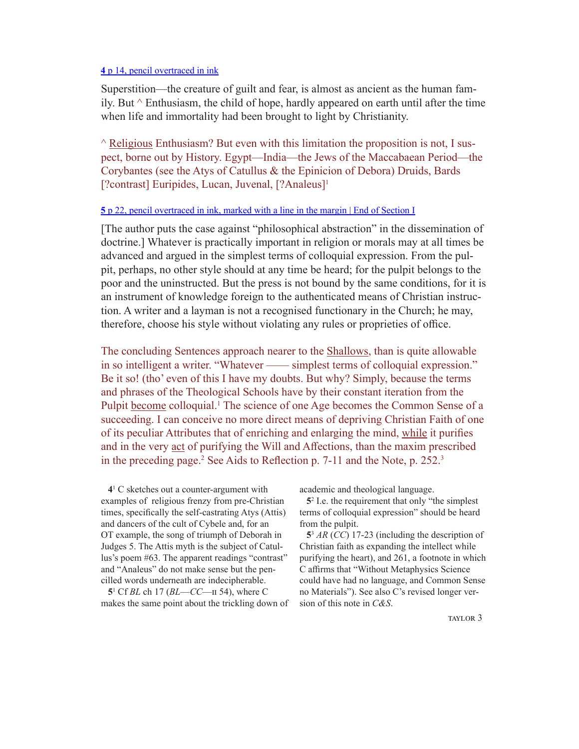#### **4** [p 14, pencil overtraced in ink](http://library.vicu.utoronto.ca/sites/default/files/special_collections/coleridge/marginalia/taylor_natural_history_of_enthusiasm.pdf#page=4)

Superstition—the creature of guilt and fear, is almost as ancient as the human family. But  $\wedge$  Enthusiasm, the child of hope, hardly appeared on earth until after the time when life and immortality had been brought to light by Christianity.

 $\land$  Religious Enthusiasm? But even with this limitation the proposition is not, I suspect, borne out by History. Egypt—India—the Jews of the Maccabaean Period—the Corybantes (see the Atys of Catullus & the Epinicion of Debora) Druids, Bards [?contrast] Euripides, Lucan, Juvenal, [?Analeus]<sup>1</sup>

#### **5** [p 22, pencil overtraced in ink, marked with a line in the margin | End of Section I](library.vicu.utoronto.ca/sites/default/files/special_collections/coleridge/marginalia/taylor_natural_history_of_enthusiasm.pdf#page=5)

[The author puts the case against "philosophical abstraction" in the dissemination of doctrine.] Whatever is practically important in religion or morals may at all times be advanced and argued in the simplest terms of colloquial expression. From the pulpit, perhaps, no other style should at any time be heard; for the pulpit belongs to the poor and the uninstructed. But the press is not bound by the same conditions, for it is an instrument of knowledge foreign to the authenticated means of Christian instruction. A writer and a layman is not a recognised functionary in the Church; he may, therefore, choose his style without violating any rules or proprieties of office.

The concluding Sentences approach nearer to the Shallows, than is quite allowable in so intelligent a writer. "Whatever —— simplest terms of colloquial expression." Be it so! (tho' even of this I have my doubts. But why? Simply, because the terms and phrases of the Theological Schools have by their constant iteration from the Pulpit become colloquial.<sup>1</sup> The science of one Age becomes the Common Sense of a succeeding. I can conceive no more direct means of depriving Christian Faith of one of its peculiar Attributes that of enriching and enlarging the mind, while it purifies and in the very act of purifying the Will and Affections, than the maxim prescribed in the preceding page.<sup>2</sup> See Aids to Reflection p. 7-11 and the Note, p. 252.<sup>3</sup>

 **4**<sup>1</sup> C sketches out a counter-argument with examples of religious frenzy from pre-Christian times, specifically the self-castrating Atys (Attis) and dancers of the cult of Cybele and, for an OT example, the song of triumph of Deborah in Judges 5. The Attis myth is the subject of Catullus's poem #63. The apparent readings "contrast" and "Analeus" do not make sense but the pencilled words underneath are indecipherable.

 **5**<sup>1</sup> Cf *BL* ch 17 (*BL*—*CC*—ii 54), where C makes the same point about the trickling down of academic and theological language.

 **5**<sup>2</sup> I.e. the requirement that only "the simplest terms of colloquial expression" should be heard from the pulpit.

 **5**<sup>3</sup> *AR* (*CC*) 17-23 (including the description of Christian faith as expanding the intellect while purifying the heart), and 261, a footnote in which C affirms that "Without Metaphysics Science could have had no language, and Common Sense no Materials"). See also C's revised longer version of this note in *C&S*.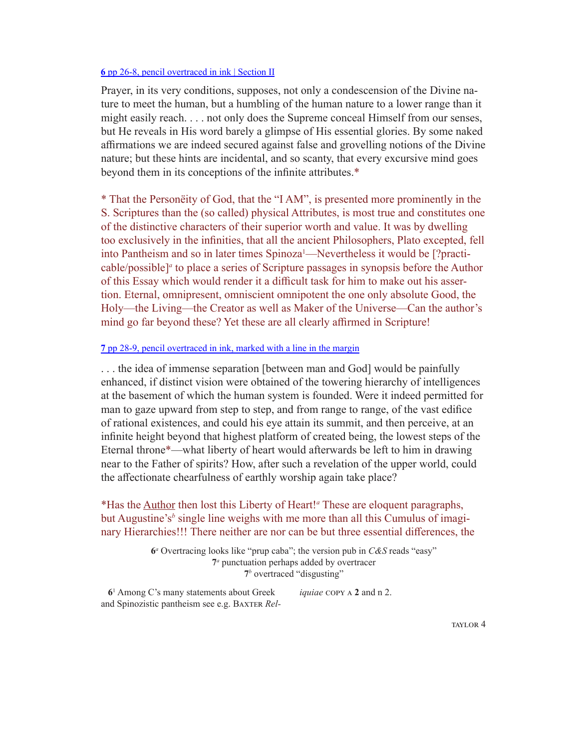#### **6** pp 26-8, pencil [overtraced](library.vicu.utoronto.ca/sites/default/files/special_collections/coleridge/marginalia/taylor_natural_history_of_enthusiasm.pdf#page=6) in ink | Section II

Prayer, in its very conditions, supposes, not only a condescension of the Divine nature to meet the human, but a humbling of the human nature to a lower range than it might easily reach. . . . not only does the Supreme conceal Himself from our senses, but He reveals in His word barely a glimpse of His essential glories. By some naked affirmations we are indeed secured against false and grovelling notions of the Divine nature; but these hints are incidental, and so scanty, that every excursive mind goes beyond them in its conceptions of the infinite attributes.\*

\* That the Personëity of God, that the "I AM", is presented more prominently in the S. Scriptures than the (so called) physical Attributes, is most true and constitutes one of the distinctive characters of their superior worth and value. It was by dwelling too exclusively in the infinities, that all the ancient Philosophers, Plato excepted, fell into Pantheism and so in later times Spinoza<sup>1</sup>—Nevertheless it would be [?practicable/possible]<sup>*a*</sup> to place a series of Scripture passages in synopsis before the Author of this Essay which would render it a difficult task for him to make out his assertion. Eternal, omnipresent, omniscient omnipotent the one only absolute Good, the Holy—the Living—the Creator as well as Maker of the Universe—Can the author's mind go far beyond these? Yet these are all clearly affirmed in Scripture!

# **7** pp 28-9, pencil overtraced in ink, [marked with a line in the margin](library.vicu.utoronto.ca/sites/default/files/special_collections/coleridge/marginalia/taylor_natural_history_of_enthusiasm.pdf#page=8)

. . . the idea of immense separation [between man and God] would be painfully enhanced, if distinct vision were obtained of the towering hierarchy of intelligences at the basement of which the human system is founded. Were it indeed permitted for man to gaze upward from step to step, and from range to range, of the vast edifice of rational existences, and could his eye attain its summit, and then perceive, at an infinite height beyond that highest platform of created being, the lowest steps of the Eternal throne\*—what liberty of heart would afterwards be left to him in drawing near to the Father of spirits? How, after such a revelation of the upper world, could the affectionate chearfulness of earthly worship again take place?

# \*Has the Author then lost this Liberty of Heart!*<sup>a</sup>* These are eloquent paragraphs, but Augustine's<sup>b</sup> single line weighs with me more than all this Cumulus of imaginary Hierarchies!!! There neither are nor can be but three essential differences, the

**6***a* Overtracing looks like "prup caba"; the version pub in *C&S* reads "easy" **7***a* punctuation perhaps added by overtracer **7***b* overtraced "disgusting"

 **6**<sup>1</sup> Among C's many statements about Greek and Spinozistic pantheism see e.g. Baxter *Reliquiae* copy a **2** and n 2.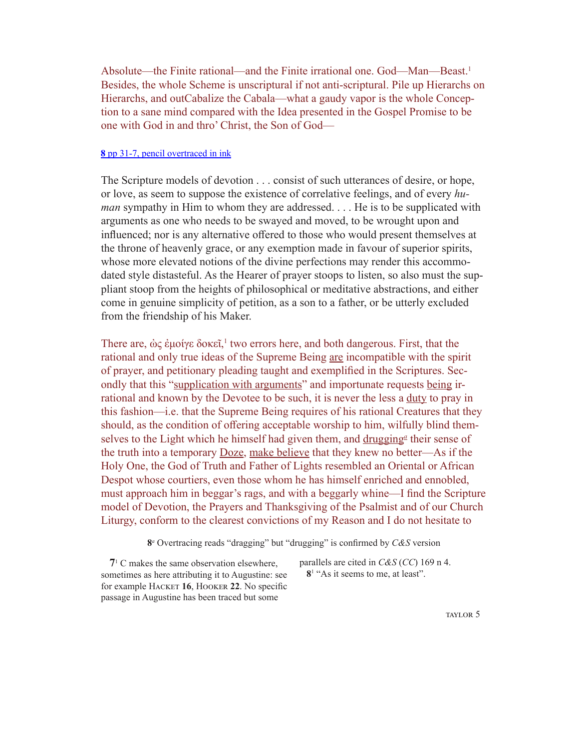Absolute—the Finite rational—and the Finite irrational one. God—Man—Beast.<sup>1</sup> Besides, the whole Scheme is unscriptural if not anti-scriptural. Pile up Hierarchs on Hierarchs, and outCabalize the Cabala—what a gaudy vapor is the whole Conception to a sane mind compared with the Idea presented in the Gospel Promise to be one with God in and thro' Christ, the Son of God—

#### **8** pp 31-7, pencil [overtraced in ink](library.vicu.utoronto.ca/sites/default/files/special_collections/coleridge/marginalia/taylor_natural_history_of_enthusiasm.pdf#page=10)

The Scripture models of devotion . . . consist of such utterances of desire, or hope, or love, as seem to suppose the existence of correlative feelings, and of every *human* sympathy in Him to whom they are addressed. . . . He is to be supplicated with arguments as one who needs to be swayed and moved, to be wrought upon and influenced; nor is any alternative offered to those who would present themselves at the throne of heavenly grace, or any exemption made in favour of superior spirits, whose more elevated notions of the divine perfections may render this accommodated style distasteful. As the Hearer of prayer stoops to listen, so also must the suppliant stoop from the heights of philosophical or meditative abstractions, and either come in genuine simplicity of petition, as a son to a father, or be utterly excluded from the friendship of his Maker.

There are,  $\dot{\omega}$ ς έμοίγε δοκεῖ,<sup>1</sup> two errors here, and both dangerous. First, that the rational and only true ideas of the Supreme Being are incompatible with the spirit of prayer, and petitionary pleading taught and exemplified in the Scriptures. Secondly that this "supplication with arguments" and importunate requests being irrational and known by the Devotee to be such, it is never the less a duty to pray in this fashion—i.e. that the Supreme Being requires of his rational Creatures that they should, as the condition of offering acceptable worship to him, wilfully blind themselves to the Light which he himself had given them, and drugging<sup>a</sup> their sense of the truth into a temporary Doze, make believe that they knew no better—As if the Holy One, the God of Truth and Father of Lights resembled an Oriental or African Despot whose courtiers, even those whom he has himself enriched and ennobled, must approach him in beggar's rags, and with a beggarly whine—I find the Scripture model of Devotion, the Prayers and Thanksgiving of the Psalmist and of our Church Liturgy, conform to the clearest convictions of my Reason and I do not hesitate to

**8***a* Overtracing reads "dragging" but "drugging" is confirmed by *C&S* version

 **7**<sup>1</sup> C makes the same observation elsewhere, sometimes as here attributing it to Augustine: see for example HACKET 16, HOOKER 22. No specific passage in Augustine has been traced but some

parallels are cited in *C&S* (*CC*) 169 n 4. 8<sup>1</sup> "As it seems to me, at least".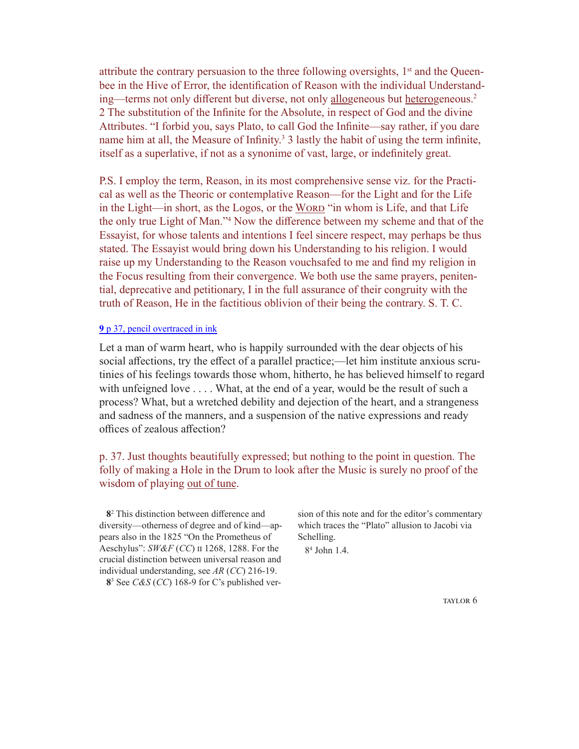attribute the contrary persuasion to the three following oversights,  $1<sup>st</sup>$  and the Queenbee in the Hive of Error, the identification of Reason with the individual Understanding—terms not only different but diverse, not only allogeneous but heterogeneous.2 2 The substitution of the Infinite for the Absolute, in respect of God and the divine Attributes. "I forbid you, says Plato, to call God the Infinite—say rather, if you dare name him at all, the Measure of Infinity.<sup>3</sup> 3 lastly the habit of using the term infinite, itself as a superlative, if not as a synonime of vast, large, or indefinitely great.

P.S. I employ the term, Reason, in its most comprehensive sense viz. for the Practical as well as the Theoric or contemplative Reason—for the Light and for the Life in the Light—in short, as the Logos, or the WORD "in whom is Life, and that Life the only true Light of Man."4 Now the difference between my scheme and that of the Essayist, for whose talents and intentions I feel sincere respect, may perhaps be thus stated. The Essayist would bring down his Understanding to his religion. I would raise up my Understanding to the Reason vouchsafed to me and find my religion in the Focus resulting from their convergence. We both use the same prayers, penitential, deprecative and petitionary, I in the full assurance of their congruity with the truth of Reason, He in the factitious oblivion of their being the contrary. S. T. C.

### **9** [p 37, pencil overtraced in ink](library.vicu.utoronto.ca/sites/default/files/special_collections/coleridge/marginalia/taylor_natural_history_of_enthusiasm.pdf#page=16)

Let a man of warm heart, who is happily surrounded with the dear objects of his social affections, try the effect of a parallel practice;—let him institute anxious scrutinies of his feelings towards those whom, hitherto, he has believed himself to regard with unfeigned love . . . . What, at the end of a year, would be the result of such a process? What, but a wretched debility and dejection of the heart, and a strangeness and sadness of the manners, and a suspension of the native expressions and ready offices of zealous affection?

# p. 37. Just thoughts beautifully expressed; but nothing to the point in question. The folly of making a Hole in the Drum to look after the Music is surely no proof of the wisdom of playing out of tune.

 **8**<sup>2</sup> This distinction between difference and diversity—otherness of degree and of kind—appears also in the 1825 "On the Prometheus of Aeschylus": *SW&F* (*CC*) ii 1268, 1288. For the crucial distinction between universal reason and individual understanding, see *AR* (*CC*) 216-19.

 **8**<sup>3</sup> See *C&S* (*CC*) 168-9 for C's published ver-

sion of this note and for the editor's commentary which traces the "Plato" allusion to Jacobi via Schelling.

8<sup>4</sup> John 1.4.